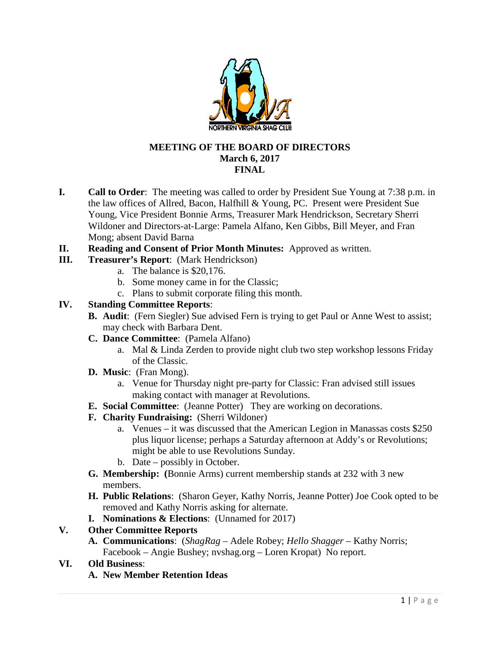

#### **MEETING OF THE BOARD OF DIRECTORS March 6, 2017 FINAL**

- **I. Call to Order**: The meeting was called to order by President Sue Young at 7:38 p.m. in the law offices of Allred, Bacon, Halfhill & Young, PC. Present were President Sue Young, Vice President Bonnie Arms, Treasurer Mark Hendrickson, Secretary Sherri Wildoner and Directors-at-Large: Pamela Alfano, Ken Gibbs, Bill Meyer, and Fran Mong; absent David Barna
- **II. Reading and Consent of Prior Month Minutes:** Approved as written.
- **III. Treasurer's Report**: (Mark Hendrickson)
	- a. The balance is \$20,176.
	- b. Some money came in for the Classic;
	- c. Plans to submit corporate filing this month.

#### **IV. Standing Committee Reports**:

- **B. Audit**: (Fern Siegler) Sue advised Fern is trying to get Paul or Anne West to assist; may check with Barbara Dent.
- **C. Dance Committee**: (Pamela Alfano)
	- a. Mal & Linda Zerden to provide night club two step workshop lessons Friday of the Classic.
- **D. Music**: (Fran Mong).
	- a. Venue for Thursday night pre-party for Classic: Fran advised still issues making contact with manager at Revolutions.
- **E. Social Committee**: (Jeanne Potter) They are working on decorations.
- **F. Charity Fundraising:** (Sherri Wildoner)
	- a. Venues it was discussed that the American Legion in Manassas costs \$250 plus liquor license; perhaps a Saturday afternoon at Addy's or Revolutions; might be able to use Revolutions Sunday.
	- b. Date possibly in October.
- **G. Membership: (**Bonnie Arms) current membership stands at 232 with 3 new members.
- **H. Public Relations**: (Sharon Geyer, Kathy Norris, Jeanne Potter) Joe Cook opted to be removed and Kathy Norris asking for alternate.
- **I. Nominations & Elections**: (Unnamed for 2017)

#### **V. Other Committee Reports**

**A. Communications**: (*ShagRag* – Adele Robey; *Hello Shagger* – Kathy Norris; Facebook – Angie Bushey; nvshag.org – Loren Kropat) No report.

## **VI. Old Business**:

**A. New Member Retention Ideas**